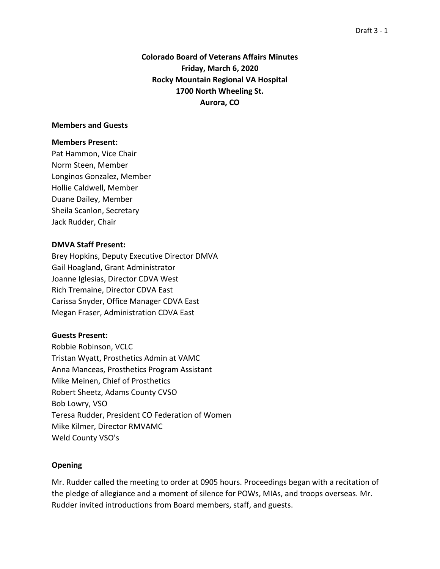# **Colorado Board of Veterans Affairs Minutes Friday, March 6, 2020 Rocky Mountain Regional VA Hospital 1700 North Wheeling St. Aurora, CO**

#### **Members and Guests**

#### **Members Present:**

Pat Hammon, Vice Chair Norm Steen, Member Longinos Gonzalez, Member Hollie Caldwell, Member Duane Dailey, Member Sheila Scanlon, Secretary Jack Rudder, Chair

### **DMVA Staff Present:**

Brey Hopkins, Deputy Executive Director DMVA Gail Hoagland, Grant Administrator Joanne Iglesias, Director CDVA West Rich Tremaine, Director CDVA East Carissa Snyder, Office Manager CDVA East Megan Fraser, Administration CDVA East

#### **Guests Present:**

Robbie Robinson, VCLC Tristan Wyatt, Prosthetics Admin at VAMC Anna Manceas, Prosthetics Program Assistant Mike Meinen, Chief of Prosthetics Robert Sheetz, Adams County CVSO Bob Lowry, VSO Teresa Rudder, President CO Federation of Women Mike Kilmer, Director RMVAMC Weld County VSO's

## **Opening**

Mr. Rudder called the meeting to order at 0905 hours. Proceedings began with a recitation of the pledge of allegiance and a moment of silence for POWs, MIAs, and troops overseas. Mr. Rudder invited introductions from Board members, staff, and guests.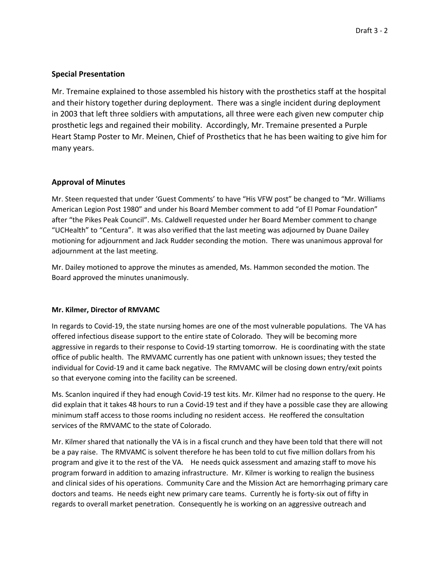## **Special Presentation**

Mr. Tremaine explained to those assembled his history with the prosthetics staff at the hospital and their history together during deployment. There was a single incident during deployment in 2003 that left three soldiers with amputations, all three were each given new computer chip prosthetic legs and regained their mobility. Accordingly, Mr. Tremaine presented a Purple Heart Stamp Poster to Mr. Meinen, Chief of Prosthetics that he has been waiting to give him for many years.

## **Approval of Minutes**

Mr. Steen requested that under 'Guest Comments' to have "His VFW post" be changed to "Mr. Williams American Legion Post 1980" and under his Board Member comment to add "of El Pomar Foundation" after "the Pikes Peak Council". Ms. Caldwell requested under her Board Member comment to change "UCHealth" to "Centura". It was also verified that the last meeting was adjourned by Duane Dailey motioning for adjournment and Jack Rudder seconding the motion. There was unanimous approval for adjournment at the last meeting.

Mr. Dailey motioned to approve the minutes as amended, Ms. Hammon seconded the motion. The Board approved the minutes unanimously.

#### **Mr. Kilmer, Director of RMVAMC**

In regards to Covid-19, the state nursing homes are one of the most vulnerable populations. The VA has offered infectious disease support to the entire state of Colorado. They will be becoming more aggressive in regards to their response to Covid-19 starting tomorrow. He is coordinating with the state office of public health. The RMVAMC currently has one patient with unknown issues; they tested the individual for Covid-19 and it came back negative. The RMVAMC will be closing down entry/exit points so that everyone coming into the facility can be screened.

Ms. Scanlon inquired if they had enough Covid-19 test kits. Mr. Kilmer had no response to the query. He did explain that it takes 48 hours to run a Covid-19 test and if they have a possible case they are allowing minimum staff access to those rooms including no resident access. He reoffered the consultation services of the RMVAMC to the state of Colorado.

Mr. Kilmer shared that nationally the VA is in a fiscal crunch and they have been told that there will not be a pay raise. The RMVAMC is solvent therefore he has been told to cut five million dollars from his program and give it to the rest of the VA. He needs quick assessment and amazing staff to move his program forward in addition to amazing infrastructure. Mr. Kilmer is working to realign the business and clinical sides of his operations. Community Care and the Mission Act are hemorrhaging primary care doctors and teams. He needs eight new primary care teams. Currently he is forty-six out of fifty in regards to overall market penetration. Consequently he is working on an aggressive outreach and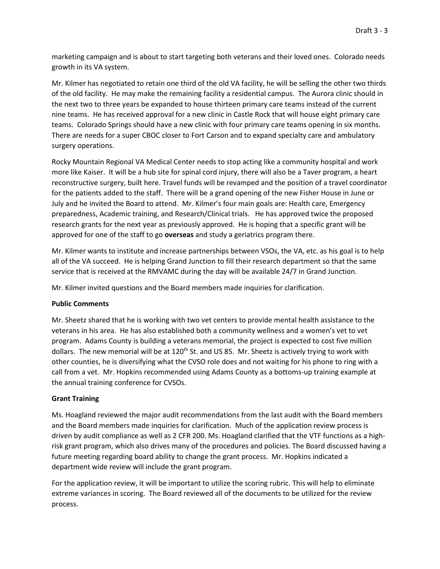marketing campaign and is about to start targeting both veterans and their loved ones. Colorado needs growth in its VA system.

Mr. Kilmer has negotiated to retain one third of the old VA facility, he will be selling the other two thirds of the old facility. He may make the remaining facility a residential campus. The Aurora clinic should in the next two to three years be expanded to house thirteen primary care teams instead of the current nine teams. He has received approval for a new clinic in Castle Rock that will house eight primary care teams. Colorado Springs should have a new clinic with four primary care teams opening in six months. There are needs for a super CBOC closer to Fort Carson and to expand specialty care and ambulatory surgery operations.

Rocky Mountain Regional VA Medical Center needs to stop acting like a community hospital and work more like Kaiser. It will be a hub site for spinal cord injury, there will also be a Taver program, a heart reconstructive surgery, built here. Travel funds will be revamped and the position of a travel coordinator for the patients added to the staff. There will be a grand opening of the new Fisher House in June or July and he invited the Board to attend. Mr. Kilmer's four main goals are: Health care, Emergency preparedness, Academic training, and Research/Clinical trials. He has approved twice the proposed research grants for the next year as previously approved. He is hoping that a specific grant will be approved for one of the staff to go **overseas** and study a geriatrics program there.

Mr. Kilmer wants to institute and increase partnerships between VSOs, the VA, etc. as his goal is to help all of the VA succeed. He is helping Grand Junction to fill their research department so that the same service that is received at the RMVAMC during the day will be available 24/7 in Grand Junction.

Mr. Kilmer invited questions and the Board members made inquiries for clarification.

## **Public Comments**

Mr. Sheetz shared that he is working with two vet centers to provide mental health assistance to the veterans in his area. He has also established both a community wellness and a women's vet to vet program. Adams County is building a veterans memorial, the project is expected to cost five million dollars. The new memorial will be at 120<sup>th</sup> St. and US 85. Mr. Sheetz is actively trying to work with other counties, he is diversifying what the CVSO role does and not waiting for his phone to ring with a call from a vet. Mr. Hopkins recommended using Adams County as a bottoms-up training example at the annual training conference for CVSOs.

## **Grant Training**

Ms. Hoagland reviewed the major audit recommendations from the last audit with the Board members and the Board members made inquiries for clarification. Much of the application review process is driven by audit compliance as well as 2 CFR 200. Ms. Hoagland clarified that the VTF functions as a highrisk grant program, which also drives many of the procedures and policies. The Board discussed having a future meeting regarding board ability to change the grant process. Mr. Hopkins indicated a department wide review will include the grant program.

For the application review, it will be important to utilize the scoring rubric. This will help to eliminate extreme variances in scoring. The Board reviewed all of the documents to be utilized for the review process.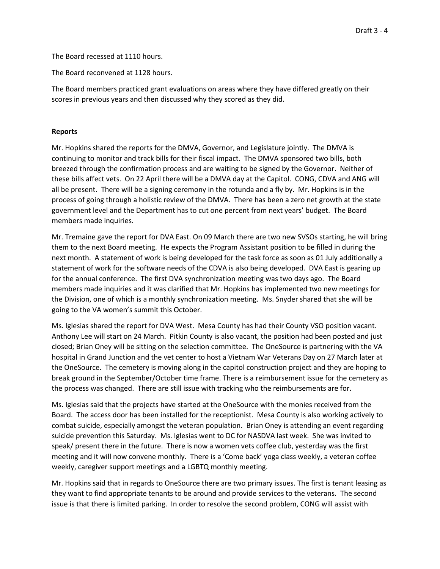The Board recessed at 1110 hours.

The Board reconvened at 1128 hours.

The Board members practiced grant evaluations on areas where they have differed greatly on their scores in previous years and then discussed why they scored as they did.

#### **Reports**

Mr. Hopkins shared the reports for the DMVA, Governor, and Legislature jointly. The DMVA is continuing to monitor and track bills for their fiscal impact. The DMVA sponsored two bills, both breezed through the confirmation process and are waiting to be signed by the Governor. Neither of these bills affect vets. On 22 April there will be a DMVA day at the Capitol. CONG, CDVA and ANG will all be present. There will be a signing ceremony in the rotunda and a fly by. Mr. Hopkins is in the process of going through a holistic review of the DMVA. There has been a zero net growth at the state government level and the Department has to cut one percent from next years' budget. The Board members made inquiries.

Mr. Tremaine gave the report for DVA East. On 09 March there are two new SVSOs starting, he will bring them to the next Board meeting. He expects the Program Assistant position to be filled in during the next month. A statement of work is being developed for the task force as soon as 01 July additionally a statement of work for the software needs of the CDVA is also being developed. DVA East is gearing up for the annual conference. The first DVA synchronization meeting was two days ago. The Board members made inquiries and it was clarified that Mr. Hopkins has implemented two new meetings for the Division, one of which is a monthly synchronization meeting. Ms. Snyder shared that she will be going to the VA women's summit this October.

Ms. Iglesias shared the report for DVA West. Mesa County has had their County VSO position vacant. Anthony Lee will start on 24 March. Pitkin County is also vacant, the position had been posted and just closed; Brian Oney will be sitting on the selection committee. The OneSource is partnering with the VA hospital in Grand Junction and the vet center to host a Vietnam War Veterans Day on 27 March later at the OneSource. The cemetery is moving along in the capitol construction project and they are hoping to break ground in the September/October time frame. There is a reimbursement issue for the cemetery as the process was changed. There are still issue with tracking who the reimbursements are for.

Ms. Iglesias said that the projects have started at the OneSource with the monies received from the Board. The access door has been installed for the receptionist. Mesa County is also working actively to combat suicide, especially amongst the veteran population. Brian Oney is attending an event regarding suicide prevention this Saturday. Ms. Iglesias went to DC for NASDVA last week. She was invited to speak/ present there in the future. There is now a women vets coffee club, yesterday was the first meeting and it will now convene monthly. There is a 'Come back' yoga class weekly, a veteran coffee weekly, caregiver support meetings and a LGBTQ monthly meeting.

Mr. Hopkins said that in regards to OneSource there are two primary issues. The first is tenant leasing as they want to find appropriate tenants to be around and provide services to the veterans. The second issue is that there is limited parking. In order to resolve the second problem, CONG will assist with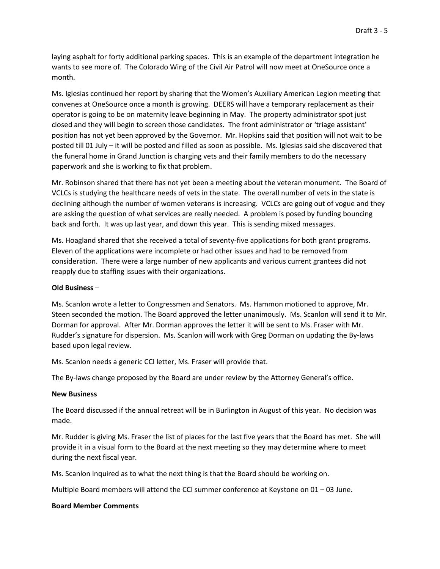laying asphalt for forty additional parking spaces. This is an example of the department integration he wants to see more of. The Colorado Wing of the Civil Air Patrol will now meet at OneSource once a month.

Ms. Iglesias continued her report by sharing that the Women's Auxiliary American Legion meeting that convenes at OneSource once a month is growing. DEERS will have a temporary replacement as their operator is going to be on maternity leave beginning in May. The property administrator spot just closed and they will begin to screen those candidates. The front administrator or 'triage assistant' position has not yet been approved by the Governor. Mr. Hopkins said that position will not wait to be posted till 01 July – it will be posted and filled as soon as possible. Ms. Iglesias said she discovered that the funeral home in Grand Junction is charging vets and their family members to do the necessary paperwork and she is working to fix that problem.

Mr. Robinson shared that there has not yet been a meeting about the veteran monument. The Board of VCLCs is studying the healthcare needs of vets in the state. The overall number of vets in the state is declining although the number of women veterans is increasing. VCLCs are going out of vogue and they are asking the question of what services are really needed. A problem is posed by funding bouncing back and forth. It was up last year, and down this year. This is sending mixed messages.

Ms. Hoagland shared that she received a total of seventy-five applications for both grant programs. Eleven of the applications were incomplete or had other issues and had to be removed from consideration. There were a large number of new applicants and various current grantees did not reapply due to staffing issues with their organizations.

#### **Old Business** –

Ms. Scanlon wrote a letter to Congressmen and Senators. Ms. Hammon motioned to approve, Mr. Steen seconded the motion. The Board approved the letter unanimously. Ms. Scanlon will send it to Mr. Dorman for approval. After Mr. Dorman approves the letter it will be sent to Ms. Fraser with Mr. Rudder's signature for dispersion. Ms. Scanlon will work with Greg Dorman on updating the By-laws based upon legal review.

Ms. Scanlon needs a generic CCI letter, Ms. Fraser will provide that.

The By-laws change proposed by the Board are under review by the Attorney General's office.

#### **New Business**

The Board discussed if the annual retreat will be in Burlington in August of this year. No decision was made.

Mr. Rudder is giving Ms. Fraser the list of places for the last five years that the Board has met. She will provide it in a visual form to the Board at the next meeting so they may determine where to meet during the next fiscal year.

Ms. Scanlon inquired as to what the next thing is that the Board should be working on.

Multiple Board members will attend the CCI summer conference at Keystone on 01 – 03 June.

#### **Board Member Comments**